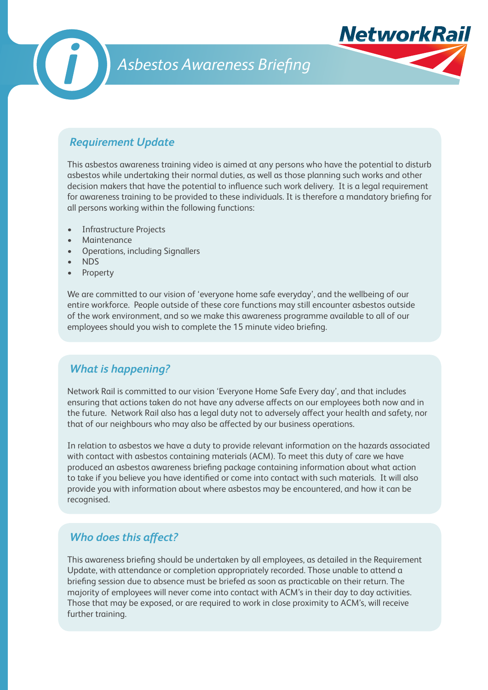

# *Asbestos Awareness Briefing*



This asbestos awareness training video is aimed at any persons who have the potential to disturb asbestos while undertaking their normal duties, as well as those planning such works and other decision makers that have the potential to influence such work delivery. It is a legal requirement for awareness training to be provided to these individuals. It is therefore a mandatory briefing for all persons working within the following functions:

**NetworkRa** 

- Infrastructure Projects
- **Maintenance**
- **Operations, including Signallers**
- **NDS**
- **Property**

We are committed to our vision of 'everyone home safe everyday', and the wellbeing of our entire workforce. People outside of these core functions may still encounter asbestos outside of the work environment, and so we make this awareness programme available to all of our employees should you wish to complete the 15 minute video briefing.

## *What is happening?*

Network Rail is committed to our vision 'Everyone Home Safe Every day', and that includes ensuring that actions taken do not have any adverse affects on our employees both now and in the future. Network Rail also has a legal duty not to adversely affect your health and safety, nor that of our neighbours who may also be affected by our business operations.

In relation to asbestos we have a duty to provide relevant information on the hazards associated with contact with asbestos containing materials (ACM). To meet this duty of care we have produced an asbestos awareness briefing package containing information about what action to take if you believe you have identified or come into contact with such materials. It will also provide you with information about where asbestos may be encountered, and how it can be recognised.

## *Who does this affect?*

This awareness briefing should be undertaken by all employees, as detailed in the Requirement Update, with attendance or completion appropriately recorded. Those unable to attend a briefing session due to absence must be briefed as soon as practicable on their return. The majority of employees will never come into contact with ACM's in their day to day activities. Those that may be exposed, or are required to work in close proximity to ACM's, will receive further training.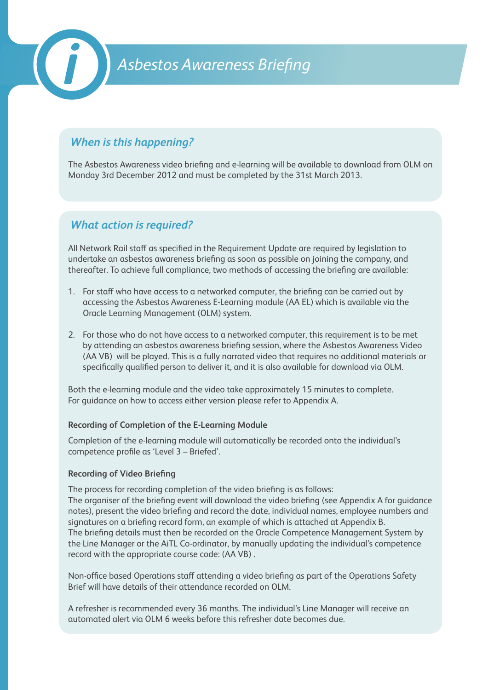

# *When is this happening?*

The Asbestos Awareness video briefing and e-learning will be available to download from OLM on Monday 3rd December 2012 and must be completed by the 31st March 2013.

### *What action is required?*

All Network Rail staff as specified in the Requirement Update are required by legislation to undertake an asbestos awareness briefing as soon as possible on joining the company, and thereafter. To achieve full compliance, two methods of accessing the briefing are available:

- 1. For staff who have access to a networked computer, the briefing can be carried out by accessing the Asbestos Awareness E-Learning module (AA EL) which is available via the Oracle Learning Management (OLM) system.
- 2. For those who do not have access to a networked computer, this requirement is to be met by attending an asbestos awareness briefing session, where the Asbestos Awareness Video (AA VB) will be played. This is a fully narrated video that requires no additional materials or specifically qualified person to deliver it, and it is also available for download via OLM.

Both the e-learning module and the video take approximately 15 minutes to complete. For guidance on how to access either version please refer to Appendix A.

#### **Recording of Completion of the E-Learning Module**

Completion of the e-learning module will automatically be recorded onto the individual's competence profile as 'Level 3 – Briefed'.

#### **Recording of Video Briefing**

The process for recording completion of the video briefing is as follows: The organiser of the briefing event will download the video briefing (see Appendix A for guidance notes), present the video briefing and record the date, individual names, employee numbers and signatures on a briefing record form, an example of which is attached at Appendix B. The briefing details must then be recorded on the Oracle Competence Management System by the Line Manager or the AiTL Co-ordinator, by manually updating the individual's competence record with the appropriate course code: (AA VB) .

Non-office based Operations staff attending a video briefing as part of the Operations Safety Brief will have details of their attendance recorded on OLM.

A refresher is recommended every 36 months. The individual's Line Manager will receive an automated alert via OLM 6 weeks before this refresher date becomes due.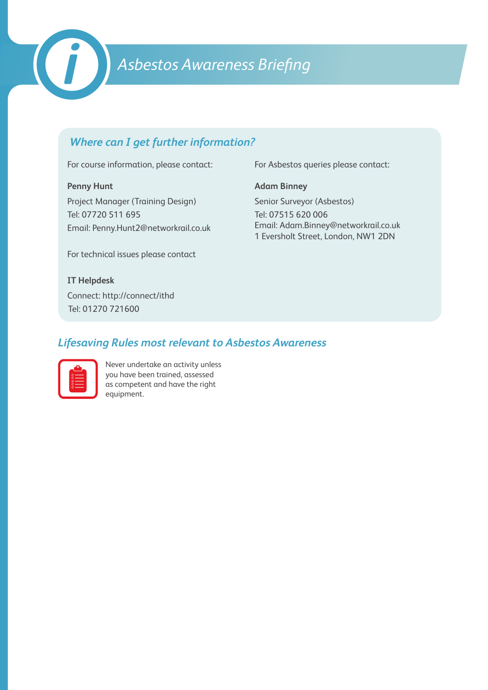

# *Asbestos Awareness Briefing*

# *Where can I get further information?*

For course information, please contact:

#### **Penny Hunt**

Project Manager (Training Design) Tel: 07720 511 695 Email: Penny.Hunt2@networkrail.co.uk

For technical issues please contact

#### **IT Helpdesk**

Connect: http://connect/ithd Tel: 01270 721600

For Asbestos queries please contact:

**Adam Binney**

Senior Surveyor (Asbestos) Tel: 07515 620 006 Email: Adam.Binney@networkrail.co.uk 1 Eversholt Street, London, NW1 2DN

# *Lifesaving Rules most relevant to Asbestos Awareness*

| ۸            |  |
|--------------|--|
| <b>DOO00</b> |  |
|              |  |
|              |  |

Never undertake an activity unless you have been trained, assessed as competent and have the right equipment.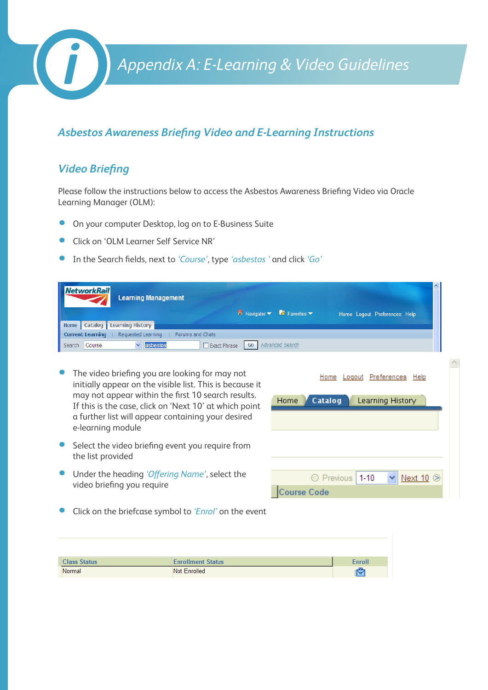*Appendix A: E-Learning & Video Guidelines*

## *Asbestos Awareness Briefing Video and E-Learning Instructions*

# *Video Briefing*

Please follow the instructions below to access the Asbestos Awareness Briefing Video via Oracle Learning Manager (OLM):

- **On your computer Desktop, log on to E-Business Suite**
- Click on 'OLM Learner Self Service NR'
- • In the Search fields, next to *'Course'*, type *'asbestos '* and click *'Go'*

| <b>NetworkRail</b><br><b>Learning Management</b><br>$\overline{\mathbf{n}}$ Navigator $\overline{\mathbf{v}}$<br>Catalog   Learning History<br>Home<br>Requested Learning<br><b>Current Learning</b><br>Forums and Chats<br>asbestos<br>$\vee$<br>$\Box$ Exact Phrase<br>Course<br>Go<br>Search       | $\blacksquare$ Favorites $\blacktriangledown$<br>Home Logout Preferences Help<br>Advanced Search |
|-------------------------------------------------------------------------------------------------------------------------------------------------------------------------------------------------------------------------------------------------------------------------------------------------------|--------------------------------------------------------------------------------------------------|
| The video briefing you are looking for may not<br>initially appear on the visible list. This is because it<br>may not appear within the first 10 search results.<br>If this is the case, click on 'Next 10' at which point<br>a further list will appear containing your desired<br>e-learning module | Preferences<br>Home<br>Help<br>Logout<br>Home<br>Catalog<br>Learning History                     |
| Select the video briefing event you require from<br>the list provided                                                                                                                                                                                                                                 |                                                                                                  |
| Under the heading 'Offering Name', select the<br>video briefing you require                                                                                                                                                                                                                           | ◯ Previous 1-10<br>Next 10<br>ourse Code:                                                        |

• Click on the briefcase symbol to *'Enrol'* on the event

| <b>Class Status</b> | <b>Enrollment Status</b> | <b>Enroll</b>      |
|---------------------|--------------------------|--------------------|
| Normal              | Not Enrolled             | صا<br>$\mathbf{r}$ |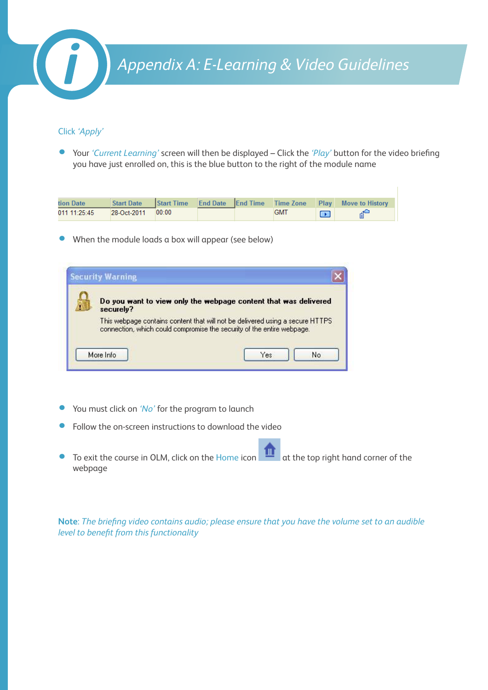

#### Click *'Apply'*

• Your *'Current Learning'* screen will then be displayed – Click the *'Play'* button for the video briefing you have just enrolled on, this is the blue button to the right of the module name

| tion Date    | <b>Start Date</b> |       |  |            |    | Start Time End Date End Time Time Zone Play Move to History |
|--------------|-------------------|-------|--|------------|----|-------------------------------------------------------------|
| 011 11:25:45 | 28-Oct-2011       | 00:00 |  | <b>GMT</b> | m. |                                                             |

• When the module loads a box will appear (see below)

| Do you want to view only the webpage content that was delivered<br>securely?                                                                            |
|---------------------------------------------------------------------------------------------------------------------------------------------------------|
| This webpage contains content that will not be delivered using a secure HTTPS<br>connection, which could compromise the security of the entire webpage. |

- You must click on 'No' for the program to launch
- Follow the on-screen instructions to download the video
- To exit the course in OLM, click on the Home icon  $\|\cdot\|$  at the top right hand corner of the webpage

**Note**: *The briefing video contains audio; please ensure that you have the volume set to an audible level to benefit from this functionality*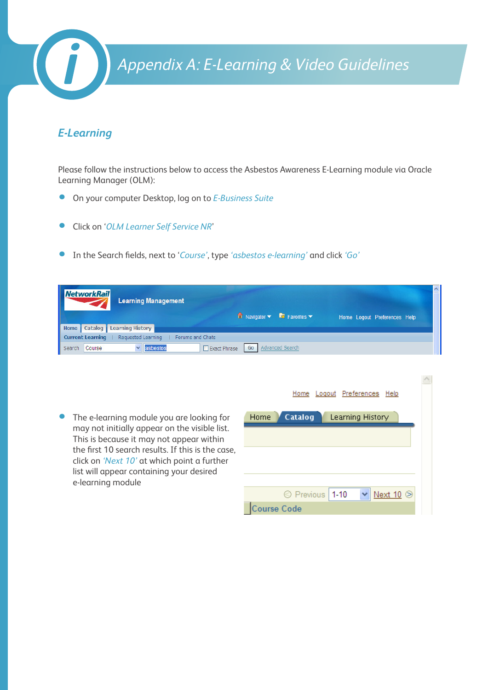

# *E-Learning*

Please follow the instructions below to access the Asbestos Awareness E-Learning module via Oracle Learning Manager (OLM):

- • On your computer Desktop, log on to *E-Business Suite*
- • Click on '*OLM Learner Self Service NR*'
- • In the Search fields, next to '*Course'*, type *'asbestos e-learning'* and click *'Go'*

|               | NetworkRail | <b>Learning Management</b>                                  |                                     | $\blacksquare$ Navigator $\blacktriangledown$ $\blacksquare$ Favorites $\blacktriangledown$ | Home Logout Preferences Help | $\boldsymbol{\wedge}$ |
|---------------|-------------|-------------------------------------------------------------|-------------------------------------|---------------------------------------------------------------------------------------------|------------------------------|-----------------------|
|               |             | Home   Catalog   Learning History                           |                                     |                                                                                             |                              |                       |
|               |             | Current Learning   Requested Learning<br>  Forums and Chats |                                     |                                                                                             |                              |                       |
| Search Course |             | lasbestos                                                   | Exact Phrase   Go   Advanced Search |                                                                                             |                              |                       |

|                                                                                                                                                                                                                                                                                                               | Preferences<br>Home<br>Help<br>Logout                                                  |
|---------------------------------------------------------------------------------------------------------------------------------------------------------------------------------------------------------------------------------------------------------------------------------------------------------------|----------------------------------------------------------------------------------------|
| • The e-learning module you are looking for<br>may not initially appear on the visible list.<br>This is because it may not appear within<br>the first 10 search results. If this is the case,<br>click on 'Next 10' at which point a further<br>list will appear containing your desired<br>e-learning module | Catalog<br>Home<br>Learning History<br>© Previous<br>$1 - 10$<br>Next 10<br>ourse Code |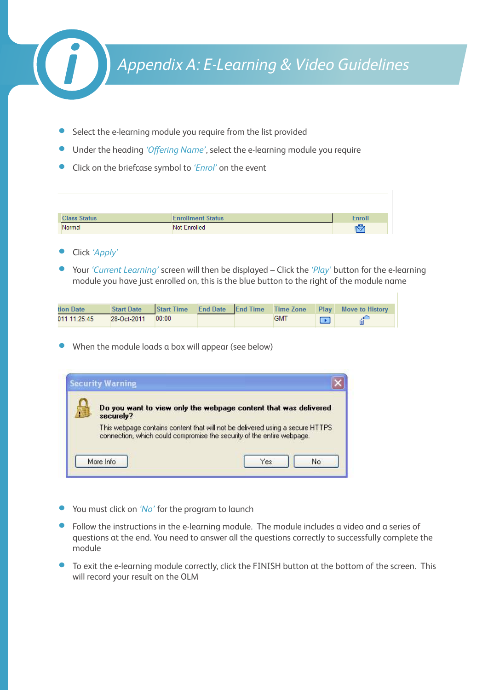

- Select the e-learning module you require from the list provided
- Under the heading 'Offering Name', select the e-learning module you require
- • Click on the briefcase symbol to *'Enrol'* on the event

| <b>Class Status</b> | <b>Enrollment Status</b> | <b>Enroll</b> |
|---------------------|--------------------------|---------------|
| Normal              | Not Enrolled             | ic,           |

- • Click *'Apply'*
- Your *'Current Learning'* screen will then be displayed Click the *'Play'* button for the e-learning module you have just enrolled on, this is the blue button to the right of the module name

| tion Date    | <b>Start Date</b> |       |  |            | Start Time End Date End Time Time Zone Play Move to History |
|--------------|-------------------|-------|--|------------|-------------------------------------------------------------|
| 011 11:25:45 | $28-0ct-2011$     | 00:00 |  | <b>GM1</b> |                                                             |

When the module loads a box will appear (see below)

| Do you want to view only the webpage content that was delivered<br>securely?                                                                             |
|----------------------------------------------------------------------------------------------------------------------------------------------------------|
| This webpage contains content that will not be delivered using a secure HTTPS.<br>connection, which could compromise the security of the entire webpage. |

- You must click on 'No' for the program to launch
- Follow the instructions in the e-learning module. The module includes a video and a series of questions at the end. You need to answer all the questions correctly to successfully complete the module
- To exit the e-learning module correctly, click the FINISH button at the bottom of the screen. This will record your result on the OLM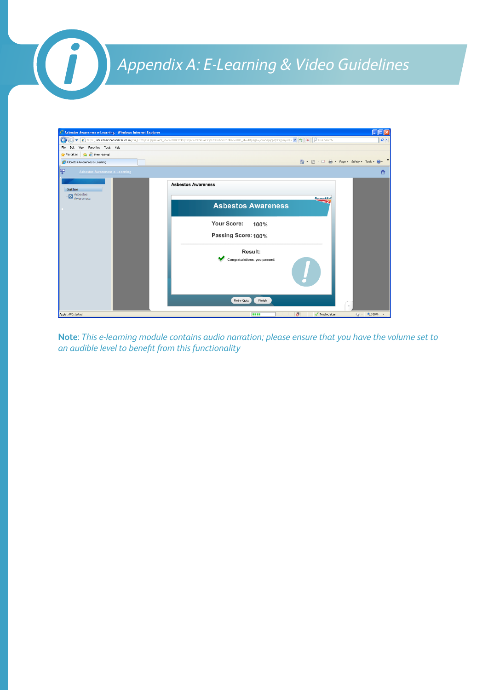# *Appendix A: E-Learning & Video Guidelines*

| C Asbestos Awareness e-Learning - Windows Internet Explorer |                                                                               | $\Box$ o $\times$ |
|-------------------------------------------------------------|-------------------------------------------------------------------------------|-------------------|
| G<br>۰                                                      |                                                                               | $\rho$ .          |
| View Favorites Tools Help<br>File<br>Edit                   |                                                                               |                   |
| Favorites <b>&amp;</b> Free Hotmail                         |                                                                               |                   |
| Asbestos Awareness e-Learning                               | ☆ 同 □ 曲 · Page · Safety · Tools · ② ·                                         |                   |
| 朢<br><b>Asbestos Awareness e-Learning</b>                   |                                                                               | m                 |
| Outline<br>Asbestos                                         | <b>Asbestos Awareness</b>                                                     |                   |
| Awareness                                                   | <b>NetworkRail</b><br><b>Asbestos Awareness</b>                               |                   |
|                                                             | Your Score:<br>100%<br>Passing Score: 100%                                    |                   |
|                                                             | <b>Result:</b><br>Congratulations, you passed.                                |                   |
|                                                             |                                                                               |                   |
|                                                             | Retry Quiz<br>Finish<br>$\mathbf{H}$                                          |                   |
| Applet API started                                          | $\circledcirc$<br><b>CORP.</b><br>$\sqrt{\phantom{a}}$ Trusted sites<br>$-4a$ | 电100% *           |

**Note**: *This e-learning module contains audio narration; please ensure that you have the volume set to an audible level to benefit from this functionality*